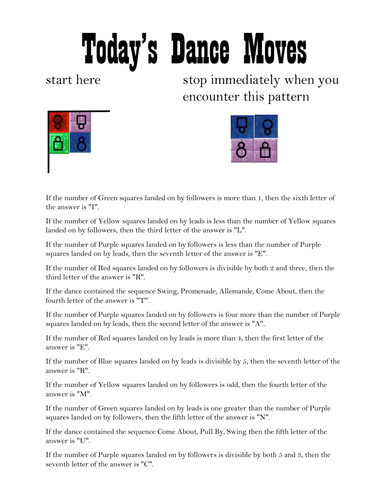## Today's Dance Moves

start here stop immediately when you encounter this pattern





If the number of Green squares landed on by followers is more than 1, then the sixth letter of the answer is "I".

If the number of Yellow squares landed on by leads is less than the number of Yellow squares landed on by followers, then the third letter of the answer is "L".

If the number of Purple squares landed on by followers is less than the number of Purple squares landed on by leads, then the seventh letter of the answer is "E".

If the number of Red squares landed on by followers is divisible by both 2 and three, then the third letter of the answer is "R".

If the dance contained the sequence Swing, Promenade, Allemande, Come About, then the fourth letter of the answer is "T".

If the number of Purple squares landed on by followers is four more than the number of Purple squares landed on by leads, then the second letter of the answer is "A".

If the number of Red squares landed on by leads is more than 4, then the first letter of the answer is "E".

If the number of Blue squares landed on by leads is divisible by 5, then the seventh letter of the answer is "R".

If the number of Yellow squares landed on by followers is odd, then the fourth letter of the answer is "M".

If the number of Green squares landed on by leads is one greater than the number of Purple squares landed on by followers, then the fifth letter of the answer is "N".

If the dance contained the sequence Come About, Pull By, Swing then the fifth letter of the answer is "U".

If the number of Purple squares landed on by followers is divisible by both 5 and 3, then the seventh letter of the answer is "C".